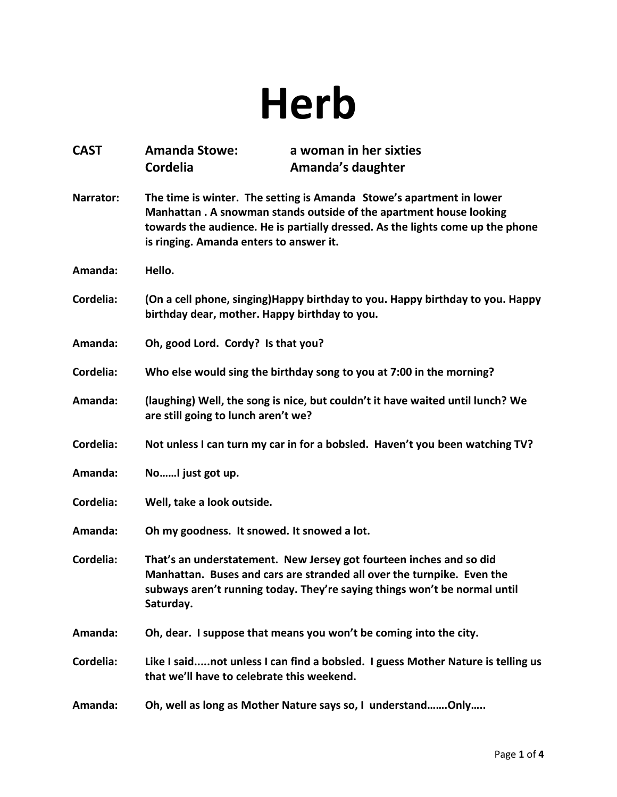## **Herb**

| <b>CAST</b> | <b>Amanda Stowe:</b><br><b>Cordelia</b>                                                                                                                                                                                                                                 | a woman in her sixties<br>Amanda's daughter                                                                                                                                                                                |
|-------------|-------------------------------------------------------------------------------------------------------------------------------------------------------------------------------------------------------------------------------------------------------------------------|----------------------------------------------------------------------------------------------------------------------------------------------------------------------------------------------------------------------------|
| Narrator:   | The time is winter. The setting is Amanda Stowe's apartment in lower<br>Manhattan. A snowman stands outside of the apartment house looking<br>towards the audience. He is partially dressed. As the lights come up the phone<br>is ringing. Amanda enters to answer it. |                                                                                                                                                                                                                            |
| Amanda:     | Hello.                                                                                                                                                                                                                                                                  |                                                                                                                                                                                                                            |
| Cordelia:   | birthday dear, mother. Happy birthday to you.                                                                                                                                                                                                                           | (On a cell phone, singing) Happy birthday to you. Happy birthday to you. Happy                                                                                                                                             |
| Amanda:     | Oh, good Lord. Cordy? Is that you?                                                                                                                                                                                                                                      |                                                                                                                                                                                                                            |
| Cordelia:   |                                                                                                                                                                                                                                                                         | Who else would sing the birthday song to you at 7:00 in the morning?                                                                                                                                                       |
| Amanda:     | are still going to lunch aren't we?                                                                                                                                                                                                                                     | (laughing) Well, the song is nice, but couldn't it have waited until lunch? We                                                                                                                                             |
| Cordelia:   |                                                                                                                                                                                                                                                                         | Not unless I can turn my car in for a bobsled. Haven't you been watching TV?                                                                                                                                               |
| Amanda:     | NoI just got up.                                                                                                                                                                                                                                                        |                                                                                                                                                                                                                            |
| Cordelia:   | Well, take a look outside.                                                                                                                                                                                                                                              |                                                                                                                                                                                                                            |
| Amanda:     | Oh my goodness. It snowed. It snowed a lot.                                                                                                                                                                                                                             |                                                                                                                                                                                                                            |
| Cordelia:   | Saturday.                                                                                                                                                                                                                                                               | That's an understatement. New Jersey got fourteen inches and so did<br>Manhattan. Buses and cars are stranded all over the turnpike. Even the<br>subways aren't running today. They're saying things won't be normal until |
| Amanda:     |                                                                                                                                                                                                                                                                         | Oh, dear. I suppose that means you won't be coming into the city.                                                                                                                                                          |
| Cordelia:   | that we'll have to celebrate this weekend.                                                                                                                                                                                                                              | Like I saidnot unless I can find a bobsled. I guess Mother Nature is telling us                                                                                                                                            |
| Amanda:     |                                                                                                                                                                                                                                                                         | Oh, well as long as Mother Nature says so, I understandOnly                                                                                                                                                                |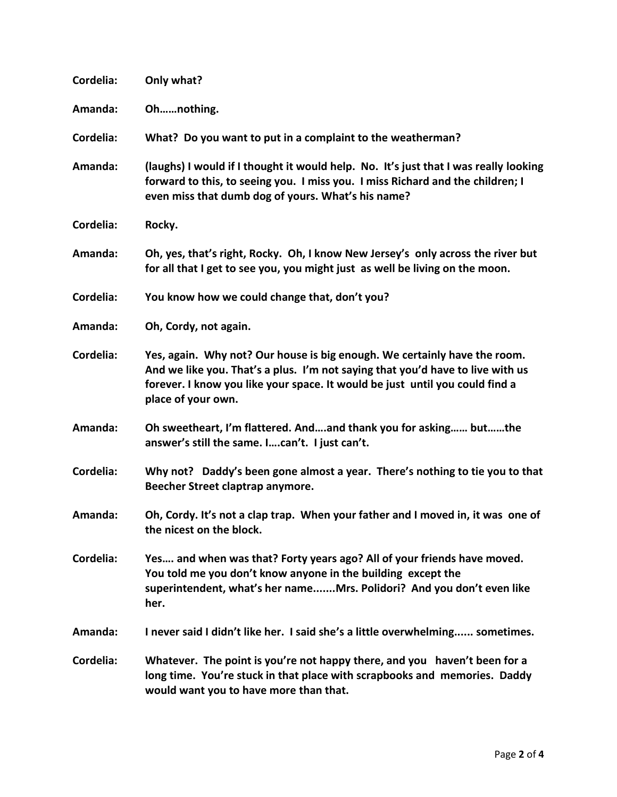| Cordelia: | Only what?                                                                                                                                                                                                                                                        |
|-----------|-------------------------------------------------------------------------------------------------------------------------------------------------------------------------------------------------------------------------------------------------------------------|
| Amanda:   | Ohnothing.                                                                                                                                                                                                                                                        |
| Cordelia: | What? Do you want to put in a complaint to the weatherman?                                                                                                                                                                                                        |
| Amanda:   | (laughs) I would if I thought it would help. No. It's just that I was really looking<br>forward to this, to seeing you. I miss you. I miss Richard and the children; I<br>even miss that dumb dog of yours. What's his name?                                      |
| Cordelia: | Rocky.                                                                                                                                                                                                                                                            |
| Amanda:   | Oh, yes, that's right, Rocky. Oh, I know New Jersey's only across the river but<br>for all that I get to see you, you might just as well be living on the moon.                                                                                                   |
| Cordelia: | You know how we could change that, don't you?                                                                                                                                                                                                                     |
| Amanda:   | Oh, Cordy, not again.                                                                                                                                                                                                                                             |
| Cordelia: | Yes, again. Why not? Our house is big enough. We certainly have the room.<br>And we like you. That's a plus. I'm not saying that you'd have to live with us<br>forever. I know you like your space. It would be just until you could find a<br>place of your own. |
| Amanda:   | Oh sweetheart, I'm flattered. Andand thank you for asking butthe<br>answer's still the same. Ican't. I just can't.                                                                                                                                                |
| Cordelia: | Why not? Daddy's been gone almost a year. There's nothing to tie you to that<br>Beecher Street claptrap anymore.                                                                                                                                                  |
| Amanda:   | Oh, Cordy. It's not a clap trap. When your father and I moved in, it was one of<br>the nicest on the block.                                                                                                                                                       |
| Cordelia: | Yes and when was that? Forty years ago? All of your friends have moved.<br>You told me you don't know anyone in the building except the<br>superintendent, what's her nameMrs. Polidori? And you don't even like<br>her.                                          |
| Amanda:   | I never said I didn't like her. I said she's a little overwhelming sometimes.                                                                                                                                                                                     |
| Cordelia: | Whatever. The point is you're not happy there, and you haven't been for a<br>long time. You're stuck in that place with scrapbooks and memories. Daddy<br>would want you to have more than that.                                                                  |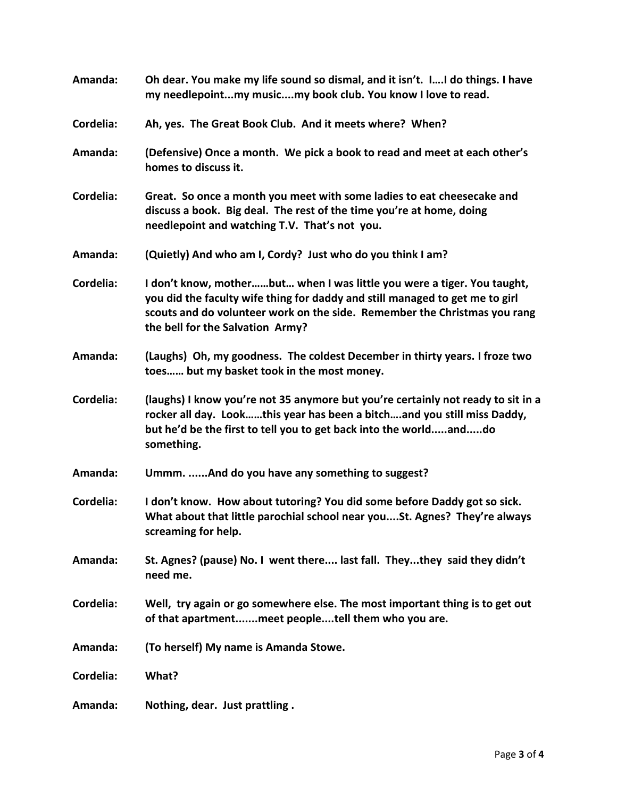| Amanda:   | Oh dear. You make my life sound so dismal, and it isn't. II do things. I have<br>my needlepointmy musicmy book club. You know I love to read.                                                                                                                            |
|-----------|--------------------------------------------------------------------------------------------------------------------------------------------------------------------------------------------------------------------------------------------------------------------------|
| Cordelia: | Ah, yes. The Great Book Club. And it meets where? When?                                                                                                                                                                                                                  |
| Amanda:   | (Defensive) Once a month. We pick a book to read and meet at each other's<br>homes to discuss it.                                                                                                                                                                        |
| Cordelia: | Great. So once a month you meet with some ladies to eat cheesecake and<br>discuss a book. Big deal. The rest of the time you're at home, doing<br>needlepoint and watching T.V. That's not you.                                                                          |
| Amanda:   | (Quietly) And who am I, Cordy? Just who do you think I am?                                                                                                                                                                                                               |
| Cordelia: | I don't know, motherbut when I was little you were a tiger. You taught,<br>you did the faculty wife thing for daddy and still managed to get me to girl<br>scouts and do volunteer work on the side. Remember the Christmas you rang<br>the bell for the Salvation Army? |
| Amanda:   | (Laughs) Oh, my goodness. The coldest December in thirty years. I froze two<br>toes but my basket took in the most money.                                                                                                                                                |
| Cordelia: | (laughs) I know you're not 35 anymore but you're certainly not ready to sit in a<br>rocker all day. Lookthis year has been a bitchand you still miss Daddy,<br>but he'd be the first to tell you to get back into the worldanddo<br>something.                           |
| Amanda:   | Ummm. And do you have any something to suggest?                                                                                                                                                                                                                          |
| Cordelia: | I don't know. How about tutoring? You did some before Daddy got so sick.<br>What about that little parochial school near youSt. Agnes? They're always<br>screaming for help.                                                                                             |
| Amanda:   | St. Agnes? (pause) No. I went there last fall. Theythey said they didn't<br>need me.                                                                                                                                                                                     |
| Cordelia: | Well, try again or go somewhere else. The most important thing is to get out<br>of that apartmentmeet peopletell them who you are.                                                                                                                                       |
| Amanda:   | (To herself) My name is Amanda Stowe.                                                                                                                                                                                                                                    |
| Cordelia: | What?                                                                                                                                                                                                                                                                    |
| Amanda:   | Nothing, dear. Just prattling.                                                                                                                                                                                                                                           |